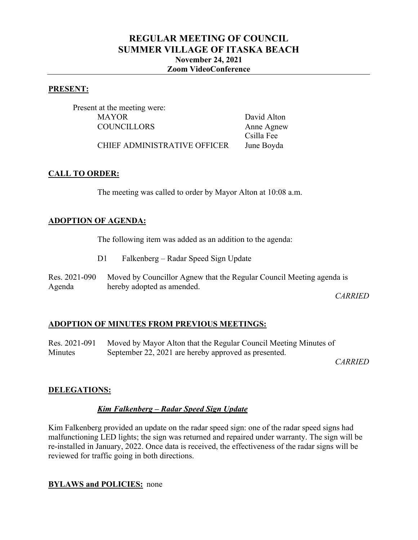# **REGULAR MEETING OF COUNCIL SUMMER VILLAGE OF ITASKA BEACH November 24, 2021 Zoom VideoConference**

#### **PRESENT:**

Present at the meeting were: MAYOR David Alton COUNCILLORS Anne Agnew

Csilla Fee

CHIEF ADMINISTRATIVE OFFICER June Boyda

### **CALL TO ORDER:**

The meeting was called to order by Mayor Alton at 10:08 a.m.

### **ADOPTION OF AGENDA:**

The following item was added as an addition to the agenda:

- D1 Falkenberg Radar Speed Sign Update
- Res. 2021-090 Agenda Moved by Councillor Agnew that the Regular Council Meeting agenda is hereby adopted as amended.

*CARRIED*

#### **ADOPTION OF MINUTES FROM PREVIOUS MEETINGS:**

Res. 2021-091 **Minutes** Moved by Mayor Alton that the Regular Council Meeting Minutes of September 22, 2021 are hereby approved as presented.

*CARRIED*

#### **DELEGATIONS:**

#### *Kim Falkenberg – Radar Speed Sign Update*

Kim Falkenberg provided an update on the radar speed sign: one of the radar speed signs had malfunctioning LED lights; the sign was returned and repaired under warranty. The sign will be re-installed in January, 2022. Once data is received, the effectiveness of the radar signs will be reviewed for traffic going in both directions.

#### **BYLAWS and POLICIES:** none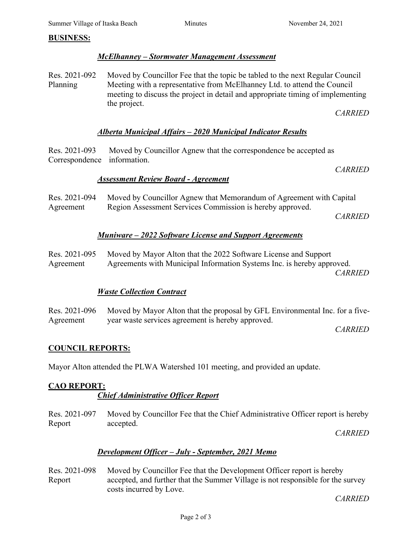#### **BUSINESS:**

#### *McElhanney – Stormwater Management Assessment*

Res. 2021-092 Planning Moved by Councillor Fee that the topic be tabled to the next Regular Council Meeting with a representative from McElhanney Ltd. to attend the Council meeting to discuss the project in detail and appropriate timing of implementing the project.

*CARRIED*

#### *Alberta Municipal Affairs – 2020 Municipal Indicator Results*

Res. 2021-093 Correspondence information. Moved by Councillor Agnew that the correspondence be accepted as

*CARRIED*

#### *Assessment Review Board - Agreement*

Res. 2021-094 Agreement Moved by Councillor Agnew that Memorandum of Agreement with Capital Region Assessment Services Commission is hereby approved. *CARRIED*

#### *Muniware – 2022 Software License and Support Agreements*

Res. 2021-095 Agreement Moved by Mayor Alton that the 2022 Software License and Support Agreements with Municipal Information Systems Inc. is hereby approved.

*CARRIED*

#### *Waste Collection Contract*

|           | Res. 2021-096 Moved by Mayor Alton that the proposal by GFL Environmental Inc. for a five- |
|-----------|--------------------------------------------------------------------------------------------|
| Agreement | year waste services agreement is hereby approved.                                          |

*CARRIED*

#### **COUNCIL REPORTS:**

Mayor Alton attended the PLWA Watershed 101 meeting, and provided an update.

## **CAO REPORT:**

#### *Chief Administrative Officer Report*

Res. 2021-097 Report Moved by Councillor Fee that the Chief Administrative Officer report is hereby accepted.

*CARRIED*

#### *Development Officer – July - September, 2021 Memo*

Res. 2021-098 Report Moved by Councillor Fee that the Development Officer report is hereby accepted, and further that the Summer Village is not responsible for the survey costs incurred by Love.

*CARRIED*